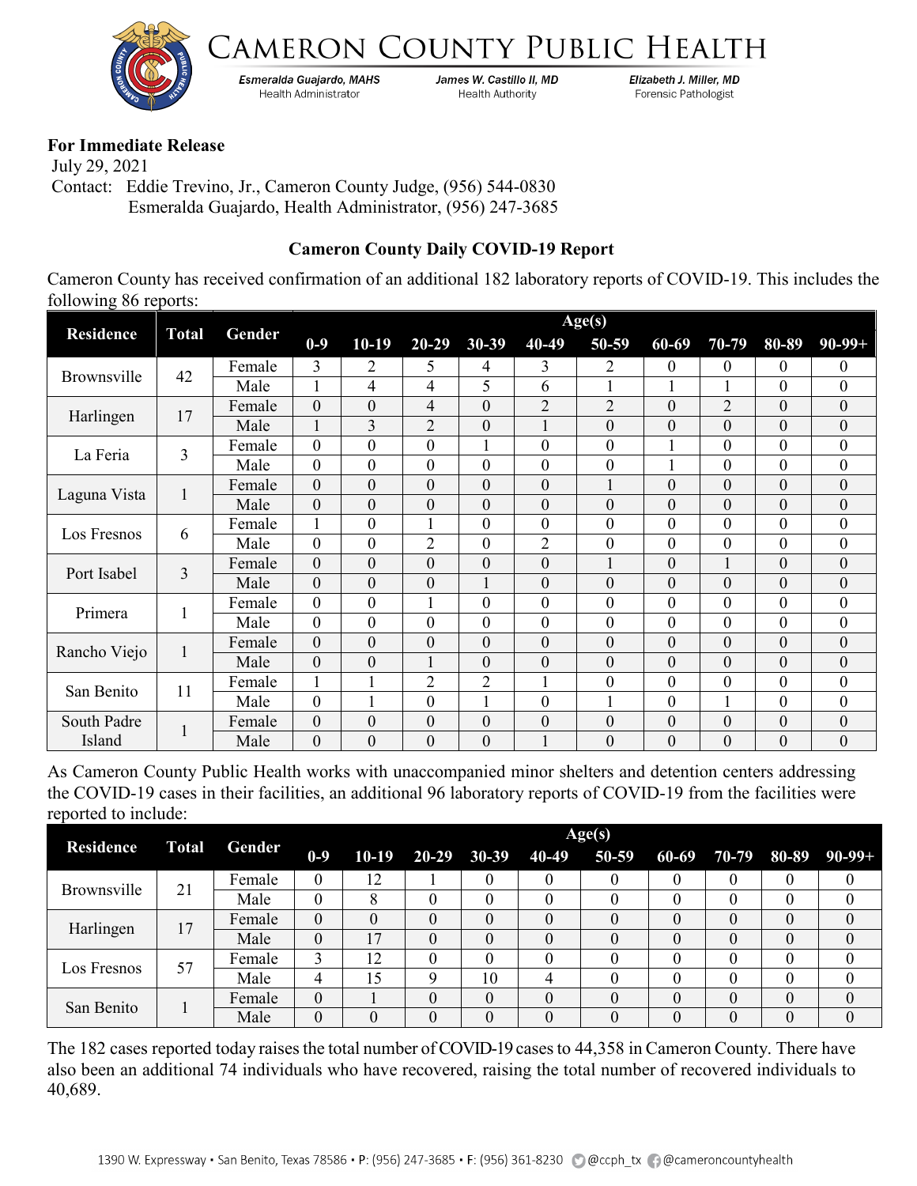



Esmeralda Guajardo, MAHS **Health Administrator** 

James W. Castillo II, MD **Health Authority** 

Elizabeth J. Miller, MD Forensic Pathologist

## **For Immediate Release**

 July 29, 2021 Contact: Eddie Trevino, Jr., Cameron County Judge, (956) 544-0830 Esmeralda Guajardo, Health Administrator, (956) 247-3685

## **Cameron County Daily COVID-19 Report**

Cameron County has received confirmation of an additional 182 laboratory reports of COVID-19. This includes the following 86 reports:

|                       | <b>Total</b> | Age(s) |                  |                  |                  |                  |              |                  |                  |                  |                  |                  |
|-----------------------|--------------|--------|------------------|------------------|------------------|------------------|--------------|------------------|------------------|------------------|------------------|------------------|
| <b>Residence</b>      |              | Gender | $0-9$            | $10-19$          | $20 - 29$        | $30 - 39$        | 40-49        | 50-59            | 60-69            | $70-79$          | 80-89            | $90 - 99 +$      |
| Brownsville           | 42           | Female | 3                | $\overline{2}$   | 5                | 4                | 3            | 2                | $\mathbf{0}$     | 0                | $\mathbf{0}$     | $\boldsymbol{0}$ |
|                       |              | Male   | $\mathbf{1}$     | 4                | 4                | 5                | 6            | 1                | 1                | 1                | $\theta$         | $\overline{0}$   |
| Harlingen             | 17           | Female | $\theta$         | $\theta$         | $\overline{4}$   | $\mathbf{0}$     | 2            | 2                | $\theta$         | $\overline{2}$   | $\theta$         | $\boldsymbol{0}$ |
|                       |              | Male   | 1                | 3                | $\overline{2}$   | $\mathbf{0}$     |              | $\theta$         | $\boldsymbol{0}$ | $\overline{0}$   | $\boldsymbol{0}$ | $\boldsymbol{0}$ |
| La Feria              | 3            | Female | $\overline{0}$   | $\mathbf{0}$     | $\overline{0}$   | $\mathbf{1}$     | $\theta$     | $\overline{0}$   |                  | $\overline{0}$   | $\overline{0}$   | $\overline{0}$   |
|                       |              | Male   | $\boldsymbol{0}$ | $\theta$         | $\overline{0}$   | $\theta$         | $\Omega$     | $\overline{0}$   |                  | $\boldsymbol{0}$ | $\theta$         | $\boldsymbol{0}$ |
| Laguna Vista          | 1            | Female | $\theta$         | $\theta$         | $\overline{0}$   | $\theta$         | $\theta$     |                  | $\theta$         | $\overline{0}$   | $\theta$         | $\boldsymbol{0}$ |
|                       |              | Male   | $\boldsymbol{0}$ | $\boldsymbol{0}$ | $\mathbf{0}$     | $\boldsymbol{0}$ | $\theta$     | $\overline{0}$   | $\boldsymbol{0}$ | $\boldsymbol{0}$ | $\boldsymbol{0}$ | $\boldsymbol{0}$ |
| Los Fresnos           | 6            | Female | 1                | $\theta$         | 1                | $\overline{0}$   | $\theta$     | $\overline{0}$   | $\overline{0}$   | $\boldsymbol{0}$ | $\overline{0}$   | $\boldsymbol{0}$ |
|                       |              | Male   | $\boldsymbol{0}$ | $\boldsymbol{0}$ | $\overline{2}$   | $\theta$         | 2            | $\theta$         | $\boldsymbol{0}$ | $\overline{0}$   | $\theta$         | $\boldsymbol{0}$ |
| Port Isabel           | 3            | Female | $\boldsymbol{0}$ | $\boldsymbol{0}$ | $\boldsymbol{0}$ | $\mathbf{0}$     | $\mathbf{0}$ | $\mathbf{1}$     | $\boldsymbol{0}$ | 1                | $\boldsymbol{0}$ | $\boldsymbol{0}$ |
|                       |              | Male   | $\theta$         | $\theta$         | $\overline{0}$   |                  | $\Omega$     | $\theta$         | $\boldsymbol{0}$ | $\overline{0}$   | $\theta$         | $\boldsymbol{0}$ |
| Primera               | $\mathbf{1}$ | Female | $\mathbf{0}$     | $\overline{0}$   | $\mathbf{1}$     | $\mathbf{0}$     | $\mathbf{0}$ | $\theta$         | $\overline{0}$   | $\overline{0}$   | $\overline{0}$   | $\boldsymbol{0}$ |
|                       |              | Male   | $\boldsymbol{0}$ | $\boldsymbol{0}$ | $\boldsymbol{0}$ | $\overline{0}$   | $\theta$     | $\boldsymbol{0}$ | $\boldsymbol{0}$ | $\boldsymbol{0}$ | $\boldsymbol{0}$ | $\boldsymbol{0}$ |
| Rancho Viejo          | $\bf{1}$     | Female | $\boldsymbol{0}$ | $\mathbf{0}$     | $\overline{0}$   | $\mathbf{0}$     | $\theta$     | $\theta$         | $\boldsymbol{0}$ | $\overline{0}$   | $\theta$         | $\boldsymbol{0}$ |
|                       |              | Male   | $\boldsymbol{0}$ | $\theta$         | 1                | $\theta$         | $\theta$     | $\theta$         | $\boldsymbol{0}$ | $\overline{0}$   | $\theta$         | $\boldsymbol{0}$ |
| San Benito            | 11           | Female |                  |                  | $\overline{2}$   | $\overline{2}$   |              | $\overline{0}$   | $\boldsymbol{0}$ | $\overline{0}$   | $\theta$         | $\boldsymbol{0}$ |
|                       |              | Male   | $\theta$         |                  | $\theta$         | $\mathbf{1}$     | $\theta$     | $\mathbf{1}$     | $\boldsymbol{0}$ |                  | $\theta$         | $\boldsymbol{0}$ |
| South Padre<br>Island |              | Female | $\boldsymbol{0}$ | $\boldsymbol{0}$ | $\mathbf{0}$     | $\boldsymbol{0}$ | $\mathbf{0}$ | $\theta$         | $\boldsymbol{0}$ | $\boldsymbol{0}$ | $\boldsymbol{0}$ | $\boldsymbol{0}$ |
|                       |              | Male   | $\boldsymbol{0}$ | $\mathbf{0}$     | $\overline{0}$   | $\overline{0}$   |              | $\mathbf{0}$     | $\boldsymbol{0}$ | $\overline{0}$   | $\boldsymbol{0}$ | $\boldsymbol{0}$ |

As Cameron County Public Health works with unaccompanied minor shelters and detention centers addressing the COVID-19 cases in their facilities, an additional 96 laboratory reports of COVID-19 from the facilities were reported to include:

|                  | <b>Total</b> |        | Age(s)   |         |                   |          |  |           |   |   |          |                            |  |
|------------------|--------------|--------|----------|---------|-------------------|----------|--|-----------|---|---|----------|----------------------------|--|
| <b>Residence</b> |              | Gender | $0-9$    | $10-19$ | 20-29 30-39 40-49 |          |  | $50 - 59$ |   |   |          | $60-69$ 70-79 80-89 90-99+ |  |
| Brownsville      | 21           | Female | $\theta$ | 12      |                   | 0        |  |           |   |   | $\left($ |                            |  |
|                  |              | Male   | $\theta$ |         |                   |          |  |           |   |   |          |                            |  |
| Harlingen        | 17           | Female | $\theta$ |         | $\Omega$          | 0        |  |           |   |   |          |                            |  |
|                  |              | Male   | 0        | ۱7      | 0                 | $\theta$ |  |           |   | 0 |          |                            |  |
| Los Fresnos      | 57           | Female | 3        | 12      | 0                 |          |  |           |   |   |          |                            |  |
|                  |              | Male   | 4        | 15      | Q                 | 10       |  |           |   |   |          |                            |  |
| San Benito       |              | Female | 0        |         | 0                 | $\Omega$ |  |           | 0 | 0 | $\Omega$ |                            |  |
|                  |              | Male   | 0        |         | $\Omega$          | $\Omega$ |  |           |   |   |          |                            |  |

The 182 cases reported today raises the total number of COVID-19 cases to 44,358 in Cameron County. There have also been an additional 74 individuals who have recovered, raising the total number of recovered individuals to 40,689.